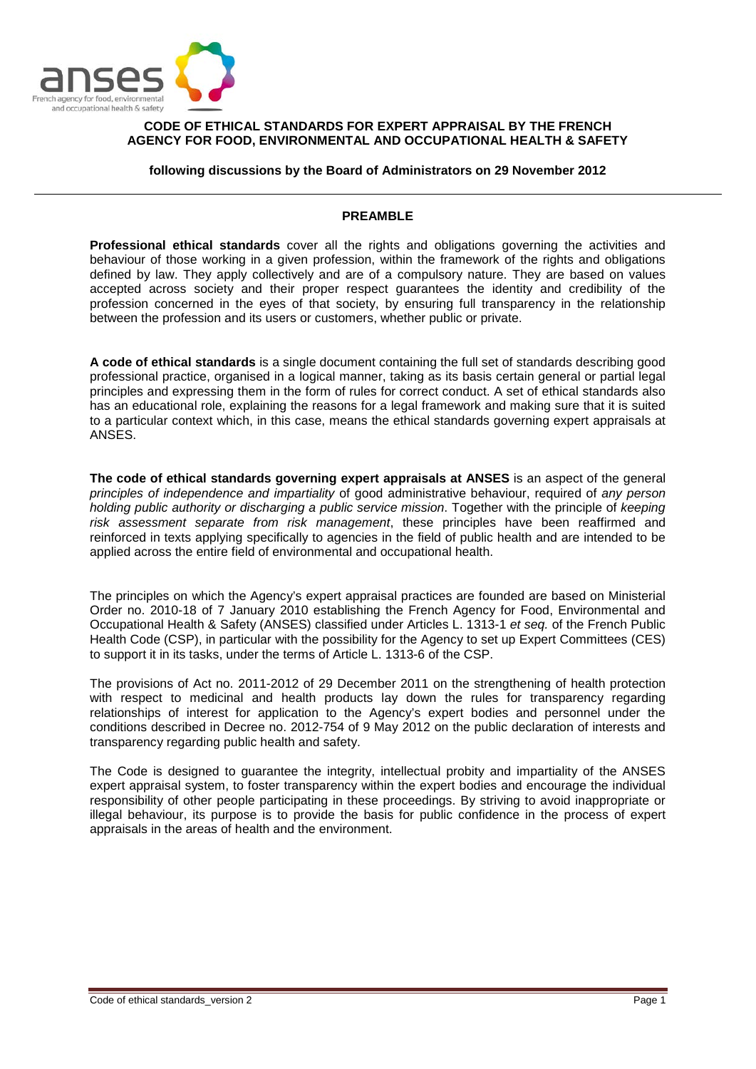

## **CODE OF ETHICAL STANDARDS FOR EXPERT APPRAISAL BY THE FRENCH AGENCY FOR FOOD, ENVIRONMENTAL AND OCCUPATIONAL HEALTH & SAFETY**

**following discussions by the Board of Administrators on 29 November 2012**

## **PREAMBLE**

**Professional ethical standards** cover all the rights and obligations governing the activities and behaviour of those working in a given profession, within the framework of the rights and obligations defined by law. They apply collectively and are of a compulsory nature. They are based on values accepted across society and their proper respect guarantees the identity and credibility of the profession concerned in the eyes of that society, by ensuring full transparency in the relationship between the profession and its users or customers, whether public or private.

**A code of ethical standards** is a single document containing the full set of standards describing good professional practice, organised in a logical manner, taking as its basis certain general or partial legal principles and expressing them in the form of rules for correct conduct. A set of ethical standards also has an educational role, explaining the reasons for a legal framework and making sure that it is suited to a particular context which, in this case, means the ethical standards governing expert appraisals at ANSES.

**The code of ethical standards governing expert appraisals at ANSES** is an aspect of the general *principles of independence and impartiality* of good administrative behaviour, required of *any person holding public authority or discharging a public service mission*. Together with the principle of *keeping risk assessment separate from risk management*, these principles have been reaffirmed and reinforced in texts applying specifically to agencies in the field of public health and are intended to be applied across the entire field of environmental and occupational health.

The principles on which the Agency's expert appraisal practices are founded are based on Ministerial Order no. 2010-18 of 7 January 2010 establishing the French Agency for Food, Environmental and Occupational Health & Safety (ANSES) classified under Articles L. 1313-1 *et seq.* of the French Public Health Code (CSP), in particular with the possibility for the Agency to set up Expert Committees (CES) to support it in its tasks, under the terms of Article L. 1313-6 of the CSP.

The provisions of Act no. 2011-2012 of 29 December 2011 on the strengthening of health protection with respect to medicinal and health products lay down the rules for transparency regarding relationships of interest for application to the Agency's expert bodies and personnel under the conditions described in Decree no. 2012-754 of 9 May 2012 on the public declaration of interests and transparency regarding public health and safety.

The Code is designed to guarantee the integrity, intellectual probity and impartiality of the ANSES expert appraisal system, to foster transparency within the expert bodies and encourage the individual responsibility of other people participating in these proceedings. By striving to avoid inappropriate or illegal behaviour, its purpose is to provide the basis for public confidence in the process of expert appraisals in the areas of health and the environment.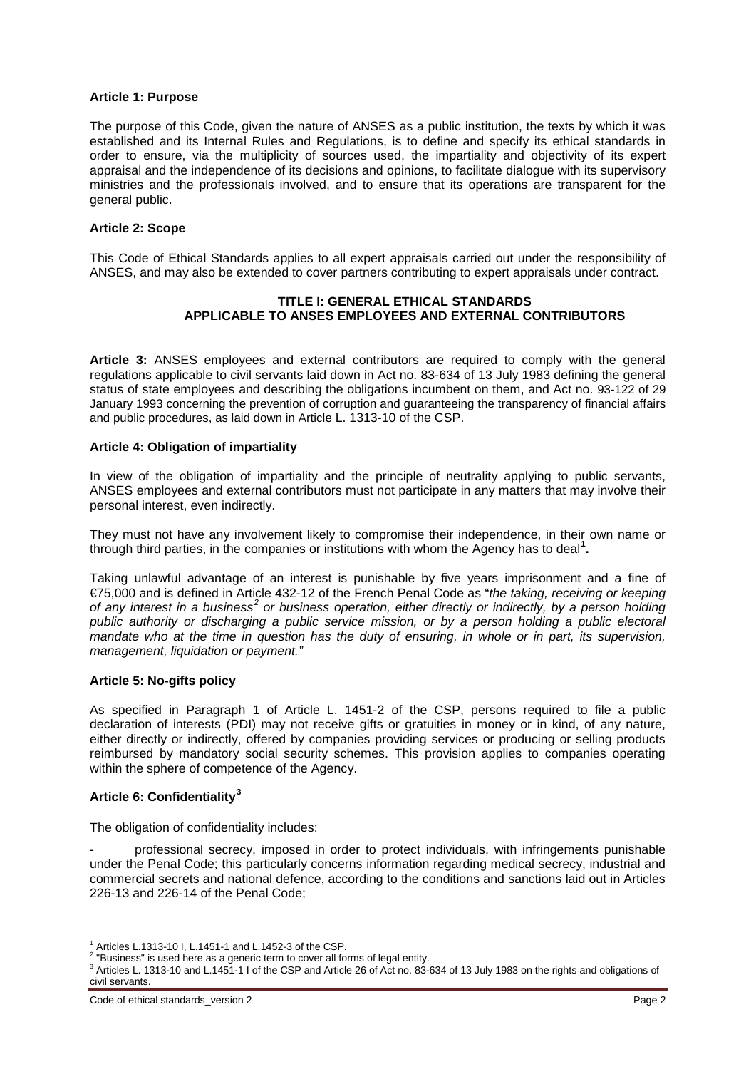### **Article 1: Purpose**

The purpose of this Code, given the nature of ANSES as a public institution, the texts by which it was established and its Internal Rules and Regulations, is to define and specify its ethical standards in order to ensure, via the multiplicity of sources used, the impartiality and objectivity of its expert appraisal and the independence of its decisions and opinions, to facilitate dialogue with its supervisory ministries and the professionals involved, and to ensure that its operations are transparent for the general public.

## **Article 2: Scope**

This Code of Ethical Standards applies to all expert appraisals carried out under the responsibility of ANSES, and may also be extended to cover partners contributing to expert appraisals under contract.

## **TITLE I: GENERAL ETHICAL STANDARDS APPLICABLE TO ANSES EMPLOYEES AND EXTERNAL CONTRIBUTORS**

**Article 3:** ANSES employees and external contributors are required to comply with the general regulations applicable to civil servants laid down in Act no. 83-634 of 13 July 1983 defining the general status of state employees and describing the obligations incumbent on them, and Act no. 93-122 of 29 January 1993 concerning the prevention of corruption and guaranteeing the transparency of financial affairs and public procedures, as laid down in Article L. 1313-10 of the CSP.

## **Article 4: Obligation of impartiality**

In view of the obligation of impartiality and the principle of neutrality applying to public servants, ANSES employees and external contributors must not participate in any matters that may involve their personal interest, even indirectly.

They must not have any involvement likely to compromise their independence, in their own name or through third parties, in the companies or institutions with whom the Agency has to deal**[1](#page-1-0) .** 

Taking unlawful advantage of an interest is punishable by five years imprisonment and a fine of €75,000 and is defined in Article 432-12 of the French Penal Code as "*the taking, receiving or keeping of any interest in a business[2](#page-1-1) or business operation, either directly or indirectly, by a person holding public authority or discharging a public service mission, or by a person holding a public electoral mandate who at the time in question has the duty of ensuring, in whole or in part, its supervision, management, liquidation or payment."*

#### **Article 5: No-gifts policy**

As specified in Paragraph 1 of Article L. 1451-2 of the CSP, persons required to file a public declaration of interests (PDI) may not receive gifts or gratuities in money or in kind, of any nature, either directly or indirectly, offered by companies providing services or producing or selling products reimbursed by mandatory social security schemes. This provision applies to companies operating within the sphere of competence of the Agency.

# **Article 6: Confidentiality[3](#page-1-2)**

The obligation of confidentiality includes:

professional secrecy, imposed in order to protect individuals, with infringements punishable under the Penal Code; this particularly concerns information regarding medical secrecy, industrial and commercial secrets and national defence, according to the conditions and sanctions laid out in Articles 226-13 and 226-14 of the Penal Code;

Code of ethical standards\_version 2 **Page 2** Page 2

<span id="page-1-1"></span><span id="page-1-0"></span> $1$  Articles L.1313-10 I, L.1451-1 and L.1452-3 of the CSP.<br><sup>2</sup> "Business" is used here as a generic term to cover all forms of legal entity.

<span id="page-1-2"></span> $3$  Articles L. 1313-10 and L.1451-1 I of the CSP and Article 26 of Act no. 83-634 of 13 July 1983 on the rights and obligations of civil servants.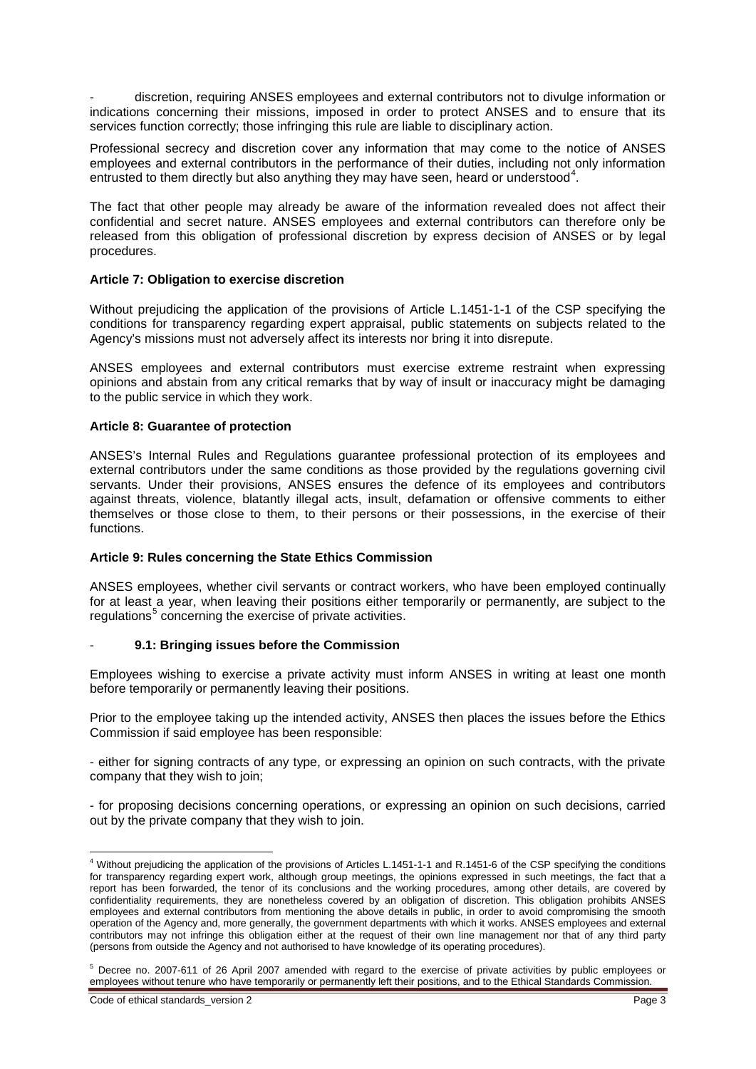- discretion, requiring ANSES employees and external contributors not to divulge information or indications concerning their missions, imposed in order to protect ANSES and to ensure that its services function correctly; those infringing this rule are liable to disciplinary action.

Professional secrecy and discretion cover any information that may come to the notice of ANSES employees and external contributors in the performance of their duties, including not only information entrusted to them directly but also anything they may have seen, heard or understood<sup>[4](#page-2-0)</sup>.

The fact that other people may already be aware of the information revealed does not affect their confidential and secret nature. ANSES employees and external contributors can therefore only be released from this obligation of professional discretion by express decision of ANSES or by legal procedures.

## **Article 7: Obligation to exercise discretion**

Without prejudicing the application of the provisions of Article L.1451-1-1 of the CSP specifying the conditions for transparency regarding expert appraisal, public statements on subjects related to the Agency's missions must not adversely affect its interests nor bring it into disrepute.

ANSES employees and external contributors must exercise extreme restraint when expressing opinions and abstain from any critical remarks that by way of insult or inaccuracy might be damaging to the public service in which they work.

## **Article 8: Guarantee of protection**

ANSES's Internal Rules and Regulations guarantee professional protection of its employees and external contributors under the same conditions as those provided by the regulations governing civil servants. Under their provisions, ANSES ensures the defence of its employees and contributors against threats, violence, blatantly illegal acts, insult, defamation or offensive comments to either themselves or those close to them, to their persons or their possessions, in the exercise of their functions.

#### **Article 9: Rules concerning the State Ethics Commission**

ANSES employees, whether civil servants or contract workers, who have been employed continually for at least a year, when leaving their positions either temporarily or permanently, are subject to the regulations<sup>[5](#page-2-1)</sup> concerning the exercise of private activities.

# - **9.1: Bringing issues before the Commission**

Employees wishing to exercise a private activity must inform ANSES in writing at least one month before temporarily or permanently leaving their positions.

Prior to the employee taking up the intended activity, ANSES then places the issues before the Ethics Commission if said employee has been responsible:

- either for signing contracts of any type, or expressing an opinion on such contracts, with the private company that they wish to join;

- for proposing decisions concerning operations, or expressing an opinion on such decisions, carried out by the private company that they wish to join.

Code of ethical standards\_version 2 Page 3 Page 3

<span id="page-2-0"></span><sup>&</sup>lt;sup>4</sup> Without prejudicing the application of the provisions of Articles L.1451-1-1 and R.1451-6 of the CSP specifying the conditions for transparency regarding expert work, although group meetings, the opinions expressed in such meetings, the fact that a report has been forwarded, the tenor of its conclusions and the working procedures, among other details, are covered by confidentiality requirements, they are nonetheless covered by an obligation of discretion. This obligation prohibits ANSES employees and external contributors from mentioning the above details in public, in order to avoid compromising the smooth operation of the Agency and, more generally, the government departments with which it works. ANSES employees and external contributors may not infringe this obligation either at the request of their own line management nor that of any third party (persons from outside the Agency and not authorised to have knowledge of its operating procedures).

<span id="page-2-1"></span><sup>&</sup>lt;sup>5</sup> Decree no. 2007-611 of 26 April 2007 amended with regard to the exercise of private activities by public employees or employees without tenure who have temporarily or permanently left their positions, and to the Ethical Standards Commission.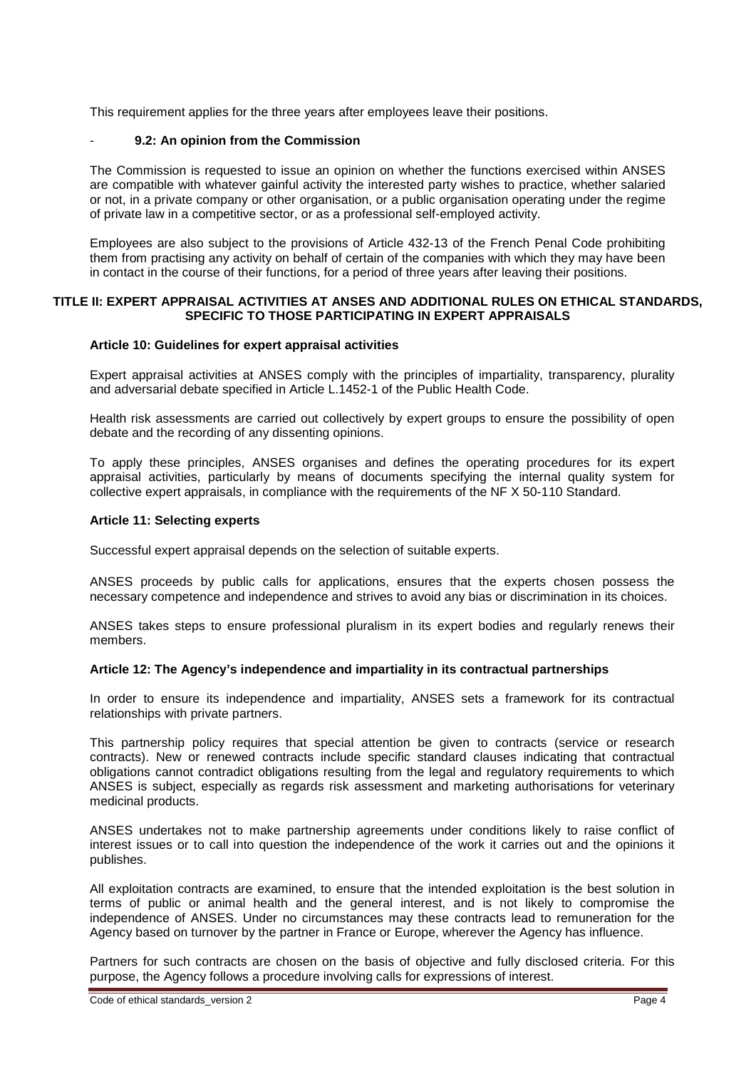This requirement applies for the three years after employees leave their positions.

## - **9.2: An opinion from the Commission**

The Commission is requested to issue an opinion on whether the functions exercised within ANSES are compatible with whatever gainful activity the interested party wishes to practice, whether salaried or not, in a private company or other organisation, or a public organisation operating under the regime of private law in a competitive sector, or as a professional self-employed activity.

Employees are also subject to the provisions of Article 432-13 of the French Penal Code prohibiting them from practising any activity on behalf of certain of the companies with which they may have been in contact in the course of their functions, for a period of three years after leaving their positions.

#### **TITLE II: EXPERT APPRAISAL ACTIVITIES AT ANSES AND ADDITIONAL RULES ON ETHICAL STANDARDS, SPECIFIC TO THOSE PARTICIPATING IN EXPERT APPRAISALS**

## **Article 10: Guidelines for expert appraisal activities**

Expert appraisal activities at ANSES comply with the principles of impartiality, transparency, plurality and adversarial debate specified in Article L.1452-1 of the Public Health Code.

Health risk assessments are carried out collectively by expert groups to ensure the possibility of open debate and the recording of any dissenting opinions.

To apply these principles, ANSES organises and defines the operating procedures for its expert appraisal activities, particularly by means of documents specifying the internal quality system for collective expert appraisals, in compliance with the requirements of the NF X 50-110 Standard.

# **Article 11: Selecting experts**

Successful expert appraisal depends on the selection of suitable experts.

ANSES proceeds by public calls for applications, ensures that the experts chosen possess the necessary competence and independence and strives to avoid any bias or discrimination in its choices.

ANSES takes steps to ensure professional pluralism in its expert bodies and regularly renews their members.

#### **Article 12: The Agency's independence and impartiality in its contractual partnerships**

In order to ensure its independence and impartiality, ANSES sets a framework for its contractual relationships with private partners.

This partnership policy requires that special attention be given to contracts (service or research contracts). New or renewed contracts include specific standard clauses indicating that contractual obligations cannot contradict obligations resulting from the legal and regulatory requirements to which ANSES is subject, especially as regards risk assessment and marketing authorisations for veterinary medicinal products.

ANSES undertakes not to make partnership agreements under conditions likely to raise conflict of interest issues or to call into question the independence of the work it carries out and the opinions it publishes.

All exploitation contracts are examined, to ensure that the intended exploitation is the best solution in terms of public or animal health and the general interest, and is not likely to compromise the independence of ANSES. Under no circumstances may these contracts lead to remuneration for the Agency based on turnover by the partner in France or Europe, wherever the Agency has influence.

Partners for such contracts are chosen on the basis of objective and fully disclosed criteria. For this purpose, the Agency follows a procedure involving calls for expressions of interest.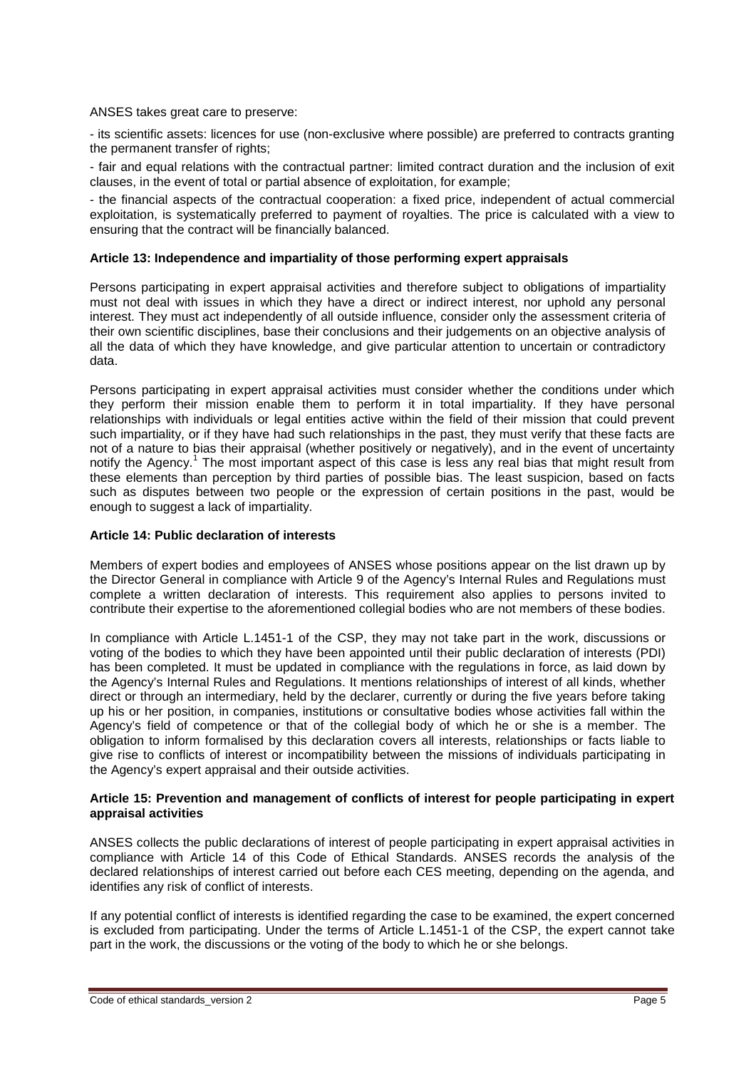ANSES takes great care to preserve:

- its scientific assets: licences for use (non-exclusive where possible) are preferred to contracts granting the permanent transfer of rights;

- fair and equal relations with the contractual partner: limited contract duration and the inclusion of exit clauses, in the event of total or partial absence of exploitation, for example;

- the financial aspects of the contractual cooperation: a fixed price, independent of actual commercial exploitation, is systematically preferred to payment of royalties. The price is calculated with a view to ensuring that the contract will be financially balanced.

## **Article 13: Independence and impartiality of those performing expert appraisals**

Persons participating in expert appraisal activities and therefore subject to obligations of impartiality must not deal with issues in which they have a direct or indirect interest, nor uphold any personal interest. They must act independently of all outside influence, consider only the assessment criteria of their own scientific disciplines, base their conclusions and their judgements on an objective analysis of all the data of which they have knowledge, and give particular attention to uncertain or contradictory data.

Persons participating in expert appraisal activities must consider whether the conditions under which they perform their mission enable them to perform it in total impartiality. If they have personal relationships with individuals or legal entities active within the field of their mission that could prevent such impartiality, or if they have had such relationships in the past, they must verify that these facts are not of a nature to bias their appraisal (whether positively or negatively), and in the event of uncertainty notify the Agency.<sup>1</sup> The most important aspect of this case is less any real bias that might result from these elements than perception by third parties of possible bias. The least suspicion, based on facts such as disputes between two people or the expression of certain positions in the past, would be enough to suggest a lack of impartiality.

#### **Article 14: Public declaration of interests**

Members of expert bodies and employees of ANSES whose positions appear on the list drawn up by the Director General in compliance with Article 9 of the Agency's Internal Rules and Regulations must complete a written declaration of interests. This requirement also applies to persons invited to contribute their expertise to the aforementioned collegial bodies who are not members of these bodies.

In compliance with Article L.1451-1 of the CSP, they may not take part in the work, discussions or voting of the bodies to which they have been appointed until their public declaration of interests (PDI) has been completed. It must be updated in compliance with the regulations in force, as laid down by the Agency's Internal Rules and Regulations. It mentions relationships of interest of all kinds, whether direct or through an intermediary, held by the declarer, currently or during the five years before taking up his or her position, in companies, institutions or consultative bodies whose activities fall within the Agency's field of competence or that of the collegial body of which he or she is a member. The obligation to inform formalised by this declaration covers all interests, relationships or facts liable to give rise to conflicts of interest or incompatibility between the missions of individuals participating in the Agency's expert appraisal and their outside activities.

## **Article 15: Prevention and management of conflicts of interest for people participating in expert appraisal activities**

ANSES collects the public declarations of interest of people participating in expert appraisal activities in compliance with Article 14 of this Code of Ethical Standards. ANSES records the analysis of the declared relationships of interest carried out before each CES meeting, depending on the agenda, and identifies any risk of conflict of interests.

If any potential conflict of interests is identified regarding the case to be examined, the expert concerned is excluded from participating. Under the terms of Article L.1451-1 of the CSP, the expert cannot take part in the work, the discussions or the voting of the body to which he or she belongs.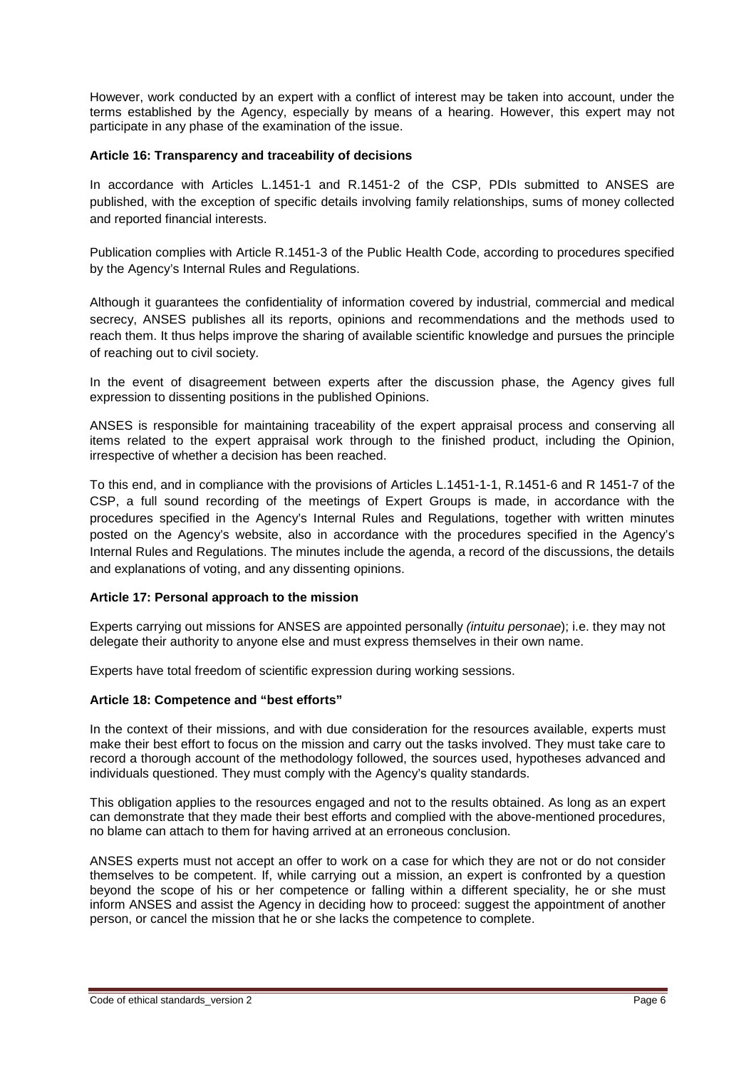However, work conducted by an expert with a conflict of interest may be taken into account, under the terms established by the Agency, especially by means of a hearing. However, this expert may not participate in any phase of the examination of the issue.

## **Article 16: Transparency and traceability of decisions**

In accordance with Articles L.1451-1 and R.1451-2 of the CSP, PDIs submitted to ANSES are published, with the exception of specific details involving family relationships, sums of money collected and reported financial interests.

Publication complies with Article R.1451-3 of the Public Health Code, according to procedures specified by the Agency's Internal Rules and Regulations.

Although it guarantees the confidentiality of information covered by industrial, commercial and medical secrecy, ANSES publishes all its reports, opinions and recommendations and the methods used to reach them. It thus helps improve the sharing of available scientific knowledge and pursues the principle of reaching out to civil society.

In the event of disagreement between experts after the discussion phase, the Agency gives full expression to dissenting positions in the published Opinions.

ANSES is responsible for maintaining traceability of the expert appraisal process and conserving all items related to the expert appraisal work through to the finished product, including the Opinion, irrespective of whether a decision has been reached.

To this end, and in compliance with the provisions of Articles L.1451-1-1, R.1451-6 and R 1451-7 of the CSP, a full sound recording of the meetings of Expert Groups is made, in accordance with the procedures specified in the Agency's Internal Rules and Regulations, together with written minutes posted on the Agency's website, also in accordance with the procedures specified in the Agency's Internal Rules and Regulations. The minutes include the agenda, a record of the discussions, the details and explanations of voting, and any dissenting opinions.

# **Article 17: Personal approach to the mission**

Experts carrying out missions for ANSES are appointed personally *(intuitu personae*); i.e. they may not delegate their authority to anyone else and must express themselves in their own name.

Experts have total freedom of scientific expression during working sessions.

# **Article 18: Competence and "best efforts"**

In the context of their missions, and with due consideration for the resources available, experts must make their best effort to focus on the mission and carry out the tasks involved. They must take care to record a thorough account of the methodology followed, the sources used, hypotheses advanced and individuals questioned. They must comply with the Agency's quality standards.

This obligation applies to the resources engaged and not to the results obtained. As long as an expert can demonstrate that they made their best efforts and complied with the above-mentioned procedures, no blame can attach to them for having arrived at an erroneous conclusion.

ANSES experts must not accept an offer to work on a case for which they are not or do not consider themselves to be competent. If, while carrying out a mission, an expert is confronted by a question beyond the scope of his or her competence or falling within a different speciality, he or she must inform ANSES and assist the Agency in deciding how to proceed: suggest the appointment of another person, or cancel the mission that he or she lacks the competence to complete.